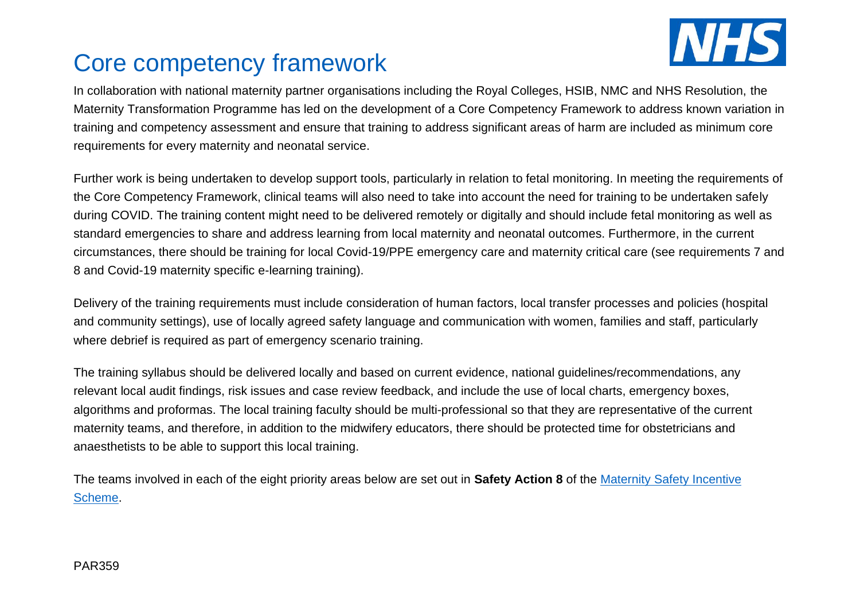

## Core competency framework

In collaboration with national maternity partner organisations including the Royal Colleges, HSIB, NMC and NHS Resolution, the Maternity Transformation Programme has led on the development of a Core Competency Framework to address known variation in training and competency assessment and ensure that training to address significant areas of harm are included as minimum core requirements for every maternity and neonatal service.

Further work is being undertaken to develop support tools, particularly in relation to fetal monitoring. In meeting the requirements of the Core Competency Framework, clinical teams will also need to take into account the need for training to be undertaken safely during COVID. The training content might need to be delivered remotely or digitally and should include fetal monitoring as well as standard emergencies to share and address learning from local maternity and neonatal outcomes. Furthermore, in the current circumstances, there should be training for local Covid-19/PPE emergency care and maternity critical care (see requirements 7 and 8 and Covid-19 maternity specific e-learning training).

Delivery of the training requirements must include consideration of human factors, local transfer processes and policies (hospital and community settings), use of locally agreed safety language and communication with women, families and staff, particularly where debrief is required as part of emergency scenario training.

The training syllabus should be delivered locally and based on current evidence, national guidelines/recommendations, any relevant local audit findings, risk issues and case review feedback, and include the use of local charts, emergency boxes, algorithms and proformas. The local training faculty should be multi-professional so that they are representative of the current maternity teams, and therefore, in addition to the midwifery educators, there should be protected time for obstetricians and anaesthetists to be able to support this local training.

The teams involved in each of the eight priority areas below are set out in **Safety Action 8** of the [Maternity Safety Incentive](https://resolution.nhs.uk/wp-content/uploads/2020/02/Maternity-Incentive-Scheme-year-three-guidance.docx?web=1) [Scheme.](https://resolution.nhs.uk/wp-content/uploads/2020/02/Maternity-Incentive-Scheme-year-three-guidance.docx?web=1)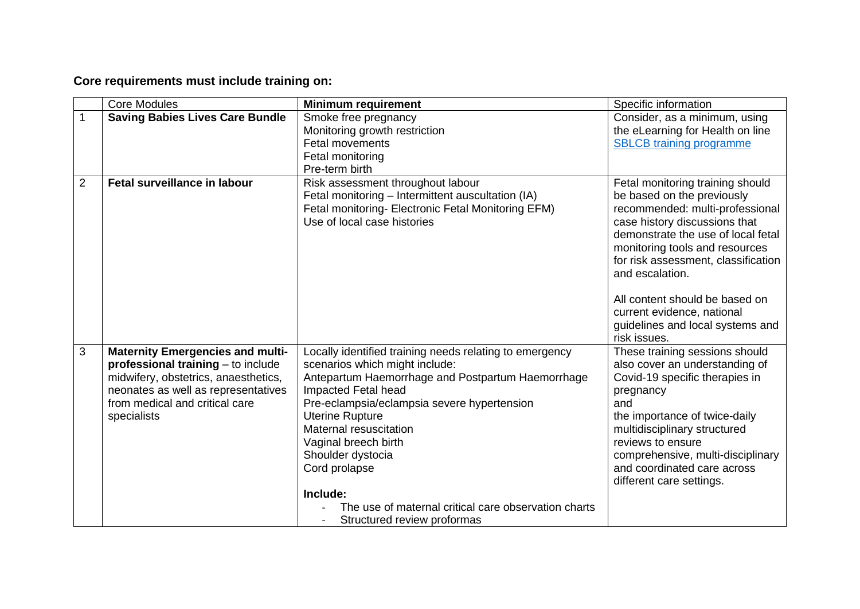## **Core requirements must include training on:**

|                | <b>Core Modules</b>                                                                                                                                                                                           | <b>Minimum requirement</b>                                                                                                                                                                                                                                                                                                             | Specific information                                                                                                                                                                                                                                                                                         |
|----------------|---------------------------------------------------------------------------------------------------------------------------------------------------------------------------------------------------------------|----------------------------------------------------------------------------------------------------------------------------------------------------------------------------------------------------------------------------------------------------------------------------------------------------------------------------------------|--------------------------------------------------------------------------------------------------------------------------------------------------------------------------------------------------------------------------------------------------------------------------------------------------------------|
| $\mathbf{1}$   | <b>Saving Babies Lives Care Bundle</b>                                                                                                                                                                        | Smoke free pregnancy<br>Monitoring growth restriction<br><b>Fetal movements</b><br>Fetal monitoring                                                                                                                                                                                                                                    | Consider, as a minimum, using<br>the eLearning for Health on line<br><b>SBLCB</b> training programme                                                                                                                                                                                                         |
| $\overline{2}$ | <b>Fetal surveillance in labour</b>                                                                                                                                                                           | Pre-term birth<br>Risk assessment throughout labour<br>Fetal monitoring - Intermittent auscultation (IA)<br>Fetal monitoring- Electronic Fetal Monitoring EFM)<br>Use of local case histories                                                                                                                                          | Fetal monitoring training should<br>be based on the previously<br>recommended: multi-professional<br>case history discussions that<br>demonstrate the use of local fetal<br>monitoring tools and resources<br>for risk assessment, classification<br>and escalation.<br>All content should be based on       |
|                |                                                                                                                                                                                                               |                                                                                                                                                                                                                                                                                                                                        | current evidence, national<br>guidelines and local systems and<br>risk issues.                                                                                                                                                                                                                               |
| 3              | <b>Maternity Emergencies and multi-</b><br>professional training - to include<br>midwifery, obstetrics, anaesthetics,<br>neonates as well as representatives<br>from medical and critical care<br>specialists | Locally identified training needs relating to emergency<br>scenarios which might include:<br>Antepartum Haemorrhage and Postpartum Haemorrhage<br>Impacted Fetal head<br>Pre-eclampsia/eclampsia severe hypertension<br><b>Uterine Rupture</b><br>Maternal resuscitation<br>Vaginal breech birth<br>Shoulder dystocia<br>Cord prolapse | These training sessions should<br>also cover an understanding of<br>Covid-19 specific therapies in<br>pregnancy<br>and<br>the importance of twice-daily<br>multidisciplinary structured<br>reviews to ensure<br>comprehensive, multi-disciplinary<br>and coordinated care across<br>different care settings. |
|                |                                                                                                                                                                                                               | Include:<br>The use of maternal critical care observation charts<br>Structured review proformas                                                                                                                                                                                                                                        |                                                                                                                                                                                                                                                                                                              |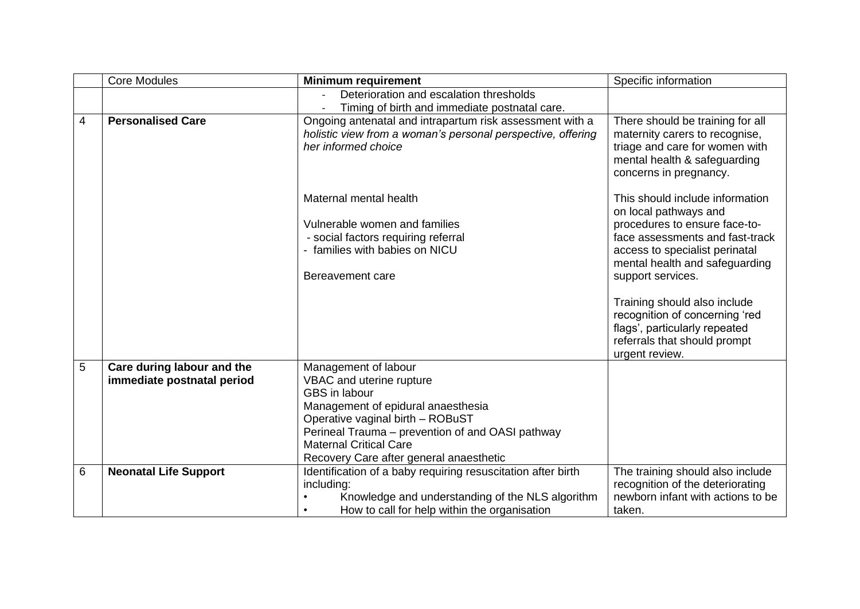|   | <b>Core Modules</b>                                      | <b>Minimum requirement</b>                                                                                                                                                                                                                                                  | Specific information                                                                                                                                                                                                                                                                                                                                                       |
|---|----------------------------------------------------------|-----------------------------------------------------------------------------------------------------------------------------------------------------------------------------------------------------------------------------------------------------------------------------|----------------------------------------------------------------------------------------------------------------------------------------------------------------------------------------------------------------------------------------------------------------------------------------------------------------------------------------------------------------------------|
|   |                                                          | Deterioration and escalation thresholds                                                                                                                                                                                                                                     |                                                                                                                                                                                                                                                                                                                                                                            |
|   |                                                          | Timing of birth and immediate postnatal care.                                                                                                                                                                                                                               |                                                                                                                                                                                                                                                                                                                                                                            |
| 4 | <b>Personalised Care</b>                                 | Ongoing antenatal and intrapartum risk assessment with a<br>holistic view from a woman's personal perspective, offering<br>her informed choice                                                                                                                              | There should be training for all<br>maternity carers to recognise,<br>triage and care for women with<br>mental health & safeguarding<br>concerns in pregnancy.                                                                                                                                                                                                             |
|   |                                                          | Maternal mental health<br>Vulnerable women and families<br>- social factors requiring referral<br>- families with babies on NICU<br>Bereavement care                                                                                                                        | This should include information<br>on local pathways and<br>procedures to ensure face-to-<br>face assessments and fast-track<br>access to specialist perinatal<br>mental health and safeguarding<br>support services.<br>Training should also include<br>recognition of concerning 'red<br>flags', particularly repeated<br>referrals that should prompt<br>urgent review. |
| 5 | Care during labour and the<br>immediate postnatal period | Management of labour<br>VBAC and uterine rupture<br>GBS in labour<br>Management of epidural anaesthesia<br>Operative vaginal birth - ROBuST<br>Perineal Trauma - prevention of and OASI pathway<br><b>Maternal Critical Care</b><br>Recovery Care after general anaesthetic |                                                                                                                                                                                                                                                                                                                                                                            |
| 6 | <b>Neonatal Life Support</b>                             | Identification of a baby requiring resuscitation after birth<br>including:<br>Knowledge and understanding of the NLS algorithm<br>How to call for help within the organisation<br>$\bullet$                                                                                 | The training should also include<br>recognition of the deteriorating<br>newborn infant with actions to be<br>taken.                                                                                                                                                                                                                                                        |